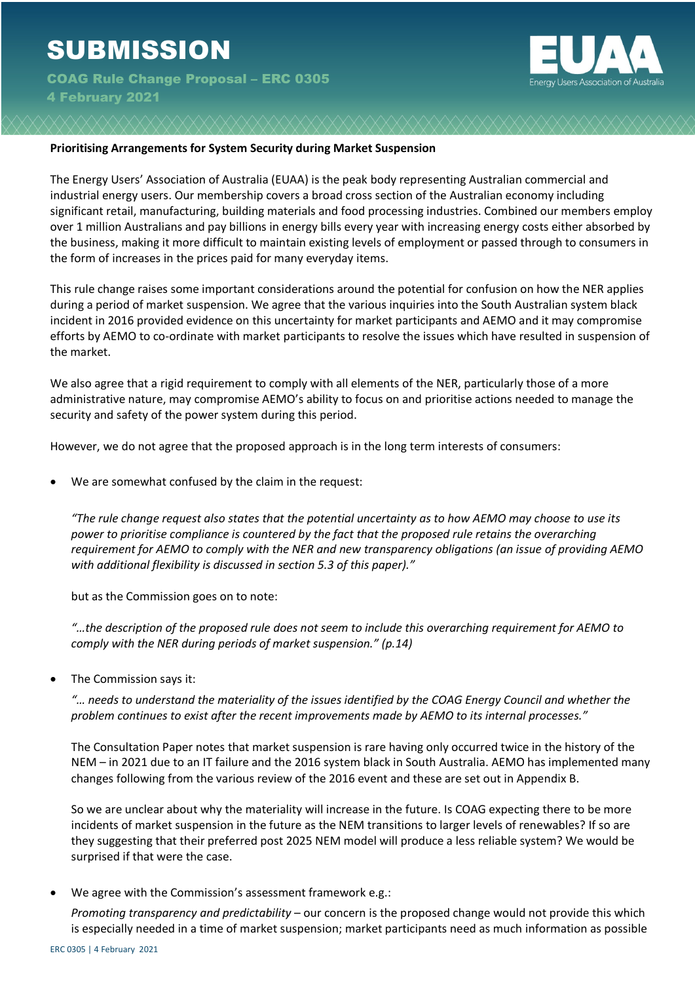

## **Prioritising Arrangements for System Security during Market Suspension**

The Energy Users' Association of Australia (EUAA) is the peak body representing Australian commercial and industrial energy users. Our membership covers a broad cross section of the Australian economy including significant retail, manufacturing, building materials and food processing industries. Combined our members employ over 1 million Australians and pay billions in energy bills every year with increasing energy costs either absorbed by the business, making it more difficult to maintain existing levels of employment or passed through to consumers in the form of increases in the prices paid for many everyday items.

This rule change raises some important considerations around the potential for confusion on how the NER applies during a period of market suspension. We agree that the various inquiries into the South Australian system black incident in 2016 provided evidence on this uncertainty for market participants and AEMO and it may compromise efforts by AEMO to co-ordinate with market participants to resolve the issues which have resulted in suspension of the market.

We also agree that a rigid requirement to comply with all elements of the NER, particularly those of a more administrative nature, may compromise AEMO's ability to focus on and prioritise actions needed to manage the security and safety of the power system during this period.

However, we do not agree that the proposed approach is in the long term interests of consumers:

We are somewhat confused by the claim in the request:

*"The rule change request also states that the potential uncertainty as to how AEMO may choose to use its power to prioritise compliance is countered by the fact that the proposed rule retains the overarching requirement for AEMO to comply with the NER and new transparency obligations (an issue of providing AEMO with additional flexibility is discussed in section 5.3 of this paper)."* 

but as the Commission goes on to note:

*"…the description of the proposed rule does not seem to include this overarching requirement for AEMO to comply with the NER during periods of market suspension." (p.14)*

• The Commission says it:

*"… needs to understand the materiality of the issues identified by the COAG Energy Council and whether the problem continues to exist after the recent improvements made by AEMO to its internal processes."*

The Consultation Paper notes that market suspension is rare having only occurred twice in the history of the NEM – in 2021 due to an IT failure and the 2016 system black in South Australia. AEMO has implemented many changes following from the various review of the 2016 event and these are set out in Appendix B.

So we are unclear about why the materiality will increase in the future. Is COAG expecting there to be more incidents of market suspension in the future as the NEM transitions to larger levels of renewables? If so are they suggesting that their preferred post 2025 NEM model will produce a less reliable system? We would be surprised if that were the case.

We agree with the Commission's assessment framework e.g.:

*Promoting transparency and predictability* – our concern is the proposed change would not provide this which is especially needed in a time of market suspension; market participants need as much information as possible